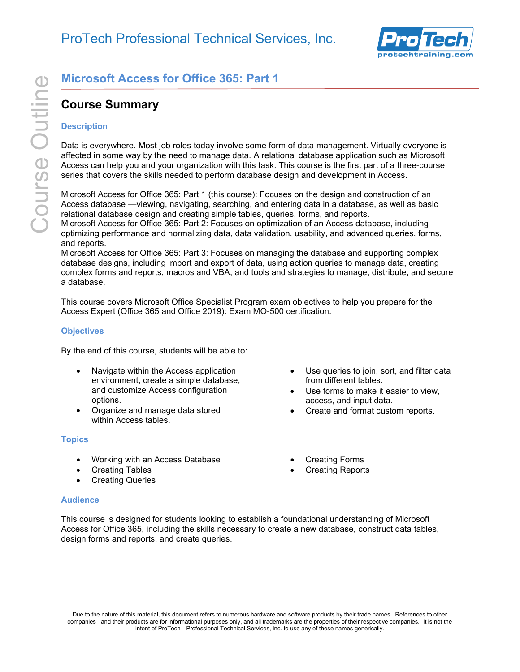

# **Course Summary**

### **Description**

**Course Summary**<br> **Course Summary**<br> **Course Summary**<br>
Description<br>
Data is everywhere. Most job roles today involve some for<br>
affected in some way by the need to manage data. A relati<br>
Access can help you and your organiza Data is everywhere. Most job roles today involve some form of data management. Virtually everyone is affected in some way by the need to manage data. A relational database application such as Microsoft Access can help you and your organization with this task. This course is the first part of a three-course series that covers the skills needed to perform database design and development in Access.

Microsoft Access for Office 365: Part 1 (this course): Focuses on the design and construction of an Access database —viewing, navigating, searching, and entering data in a database, as well as basic relational database design and creating simple tables, queries, forms, and reports.

Microsoft Access for Office 365: Part 2: Focuses on optimization of an Access database, including optimizing performance and normalizing data, data validation, usability, and advanced queries, forms, and reports.

Microsoft Access for Office 365: Part 3: Focuses on managing the database and supporting complex database designs, including import and export of data, using action queries to manage data, creating complex forms and reports, macros and VBA, and tools and strategies to manage, distribute, and secure a database.

This course covers Microsoft Office Specialist Program exam objectives to help you prepare for the Access Expert (Office 365 and Office 2019): Exam MO-500 certification.

### **Objectives**

By the end of this course, students will be able to:

- Navigate within the Access application environment, create a simple database, and customize Access configuration options.
- Organize and manage data stored within Access tables.

# **Topics**

- Working with an Access Database
- Creating Tables
- **Creating Queries**

#### **Audience**

- Use queries to join, sort, and filter data from different tables.
- Use forms to make it easier to view, access, and input data.
- Create and format custom reports.
- Creating Forms
- Creating Reports

This course is designed for students looking to establish a foundational understanding of Microsoft Access for Office 365, including the skills necessary to create a new database, construct data tables, design forms and reports, and create queries.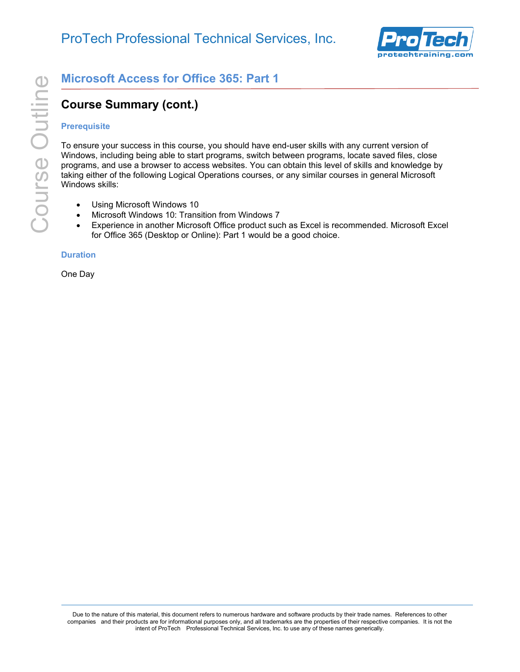

# **Course Summary (cont.)**

# **Prerequisite**

**Course Summary (cont.)**<br> **Course Summary (cont.)**<br> **Course Summary (cont.)**<br> **Prerequisite**<br>
To ensure your success in this course, you should have er<br>
Windows, including being able to start programs, switch be<br>
programs, To ensure your success in this course, you should have end-user skills with any current version of Windows, including being able to start programs, switch between programs, locate saved files, close programs, and use a browser to access websites. You can obtain this level of skills and knowledge by taking either of the following Logical Operations courses, or any similar courses in general Microsoft Windows skills:

- Using Microsoft Windows 10
- Microsoft Windows 10: Transition from Windows 7
- Experience in another Microsoft Office product such as Excel is recommended. Microsoft Excel for Office 365 (Desktop or Online): Part 1 would be a good choice.

#### **Duration**

One Day